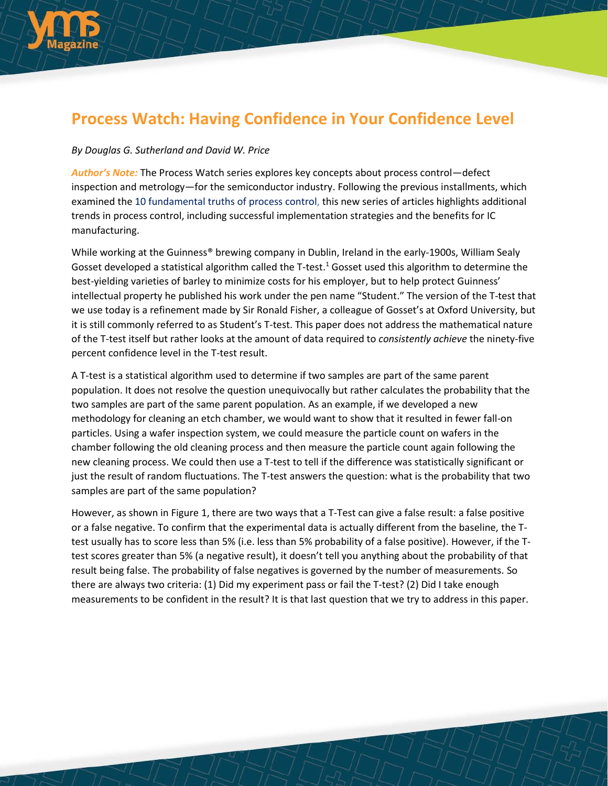

## **Process Watch: Having Confidence in Your Confidence Level**

## *By Douglas G. Sutherland and David W. Price*

*Author's Note:* The Process Watch series explores key concepts about process control—defect inspection and metrology—for the semiconductor industry. Following the previous installments, which examined the 10 [fundamental](http://electroiq.com/blog/2014/07/process-watch-the-10-fundamental-truths-of-process-control-for-the-semiconductor-ic-industry/) truths of process control, this new series of articles highlights additional trends in process control, including successful implementation strategies and the benefits for IC manufacturing.

While working at the Guinness® brewing company in Dublin, Ireland in the early-1900s, William Sealy Gosset developed a statistical algorithm called the T-test.<sup>1</sup> Gosset used this algorithm to determine the best-yielding varieties of barley to minimize costs for his employer, but to help protect Guinness' intellectual property he published his work under the pen name "Student." The version of the T-test that we use today is a refinement made by Sir Ronald Fisher, a colleague of Gosset's at Oxford University, but it is still commonly referred to as Student's T-test. This paper does not address the mathematical nature of the T-test itself but rather looks at the amount of data required to *consistently achieve* the ninety-five percent confidence level in the T-test result.

A T-test is a statistical algorithm used to determine if two samples are part of the same parent population. It does not resolve the question unequivocally but rather calculates the probability that the two samples are part of the same parent population. As an example, if we developed a new methodology for cleaning an etch chamber, we would want to show that it resulted in fewer fall-on particles. Using a wafer inspection system, we could measure the particle count on wafers in the chamber following the old cleaning process and then measure the particle count again following the new cleaning process. We could then use a T-test to tell if the difference was statistically significant or just the result of random fluctuations. The T-test answers the question: what is the probability that two samples are part of the same population?

However, as shown in Figure 1, there are two ways that a T-Test can give a false result: a false positive or a false negative. To confirm that the experimental data is actually different from the baseline, the Ttest usually has to score less than 5% (i.e. less than 5% probability of a false positive). However, if the Ttest scores greater than 5% (a negative result), it doesn't tell you anything about the probability of that result being false. The probability of false negatives is governed by the number of measurements. So there are always two criteria: (1) Did my experiment pass or fail the T-test? (2) Did I take enough measurements to be confident in the result? It is that last question that we try to address in this paper.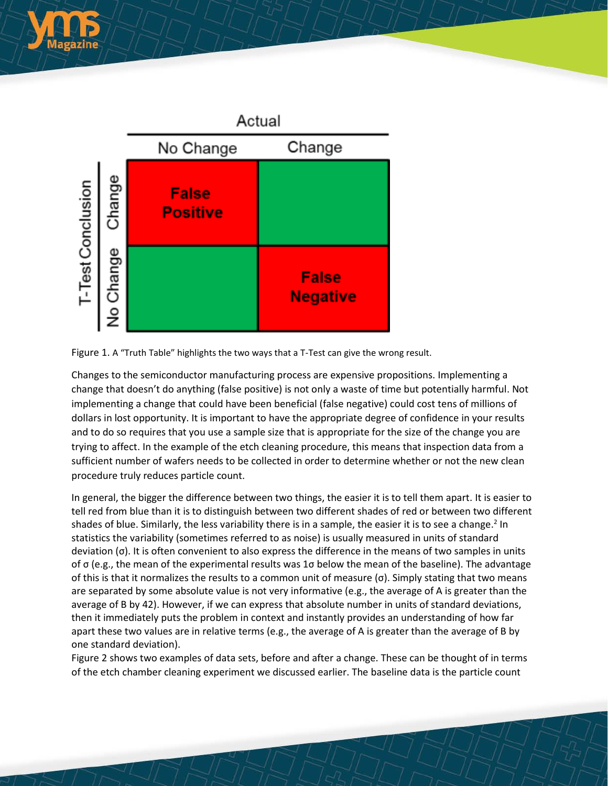





Changes to the semiconductor manufacturing process are expensive propositions. Implementing a change that doesn't do anything (false positive) is not only a waste of time but potentially harmful. Not implementing a change that could have been beneficial (false negative) could cost tens of millions of dollars in lost opportunity. It is important to have the appropriate degree of confidence in your results and to do so requires that you use a sample size that is appropriate for the size of the change you are trying to affect. In the example of the etch cleaning procedure, this means that inspection data from a sufficient number of wafers needs to be collected in order to determine whether or not the new clean procedure truly reduces particle count.

In general, the bigger the difference between two things, the easier it is to tell them apart. It is easier to tell red from blue than it is to distinguish between two different shades of red or between two different shades of blue. Similarly, the less variability there is in a sample, the easier it is to see a change.<sup>2</sup> In statistics the variability (sometimes referred to as noise) is usually measured in units of standard deviation (σ). It is often convenient to also express the difference in the means of two samples in units of σ (e.g., the mean of the experimental results was 1σ below the mean of the baseline). The advantage of this is that it normalizes the results to a common unit of measure (σ). Simply stating that two means are separated by some absolute value is not very informative (e.g., the average of A is greater than the average of B by 42). However, if we can express that absolute number in units of standard deviations, then it immediately puts the problem in context and instantly provides an understanding of how far apart these two values are in relative terms (e.g., the average of A is greater than the average of B by one standard deviation).

Figure 2 shows two examples of data sets, before and after a change. These can be thought of in terms of the etch chamber cleaning experiment we discussed earlier. The baseline data is the particle count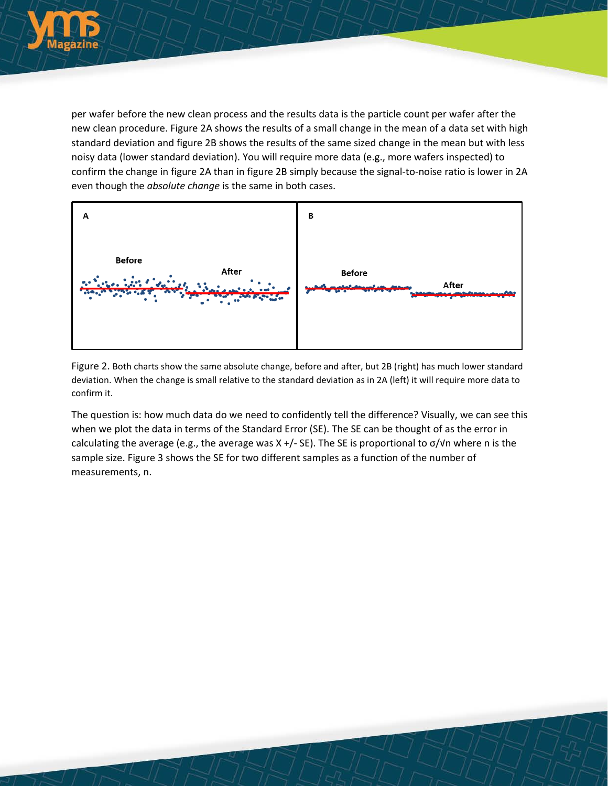

per wafer before the new clean process and the results data is the particle count per wafer after the new clean procedure. Figure 2A shows the results of a small change in the mean of a data set with high standard deviation and figure 2B shows the results of the same sized change in the mean but with less noisy data (lower standard deviation). You will require more data (e.g., more wafers inspected) to confirm the change in figure 2A than in figure 2B simply because the signal-to-noise ratio is lower in 2A even though the *absolute change* is the same in both cases.



Figure 2. Both charts show the same absolute change, before and after, but 2B (right) has much lower standard deviation. When the change is small relative to the standard deviation as in 2A (left) it will require more data to confirm it.

The question is: how much data do we need to confidently tell the difference? Visually, we can see this when we plot the data in terms of the Standard Error (SE). The SE can be thought of as the error in calculating the average (e.g., the average was  $X +$ /- SE). The SE is proportional to  $\sigma/\nu$ n where n is the sample size. Figure 3 shows the SE for two different samples as a function of the number of measurements, n.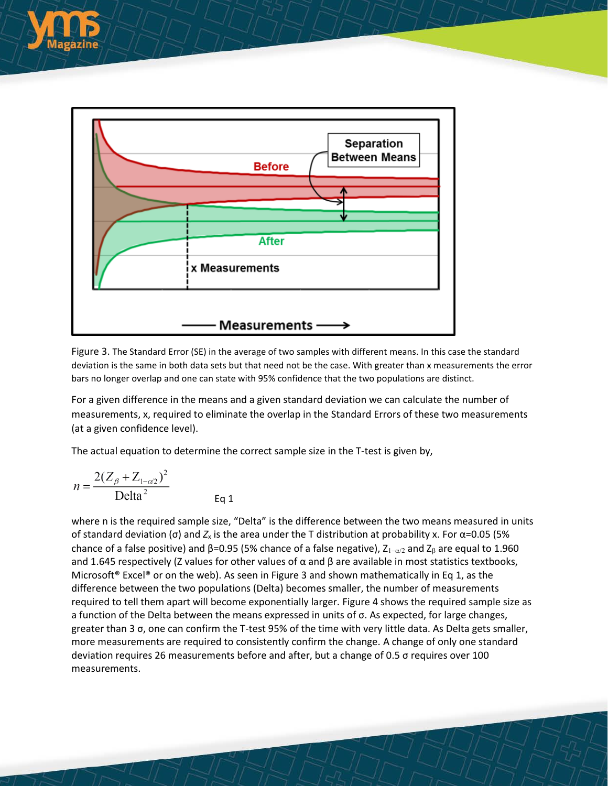

Figure 3. The Standard Error (SE) in the average of two samples with different means. In this case the standard deviation is the same in both data sets but that need not be the case. With greater than x measurements the error bars no longer overlap and one can state with 95% confidence that the two populations are distinct.

For a given difference in the means and a given standard deviation we can calculate the number of measurements, x, required to eliminate the overlap in the Standard Errors of these two measurements (at a given confidence level).

The actual equation to determine the correct sample size in the T-test is given by,

Eq 1

$$
n = \frac{2(Z_{\beta} + Z_{1-\alpha/2})^2}{\text{Delta}^2}
$$

where n is the required sample size, "Delta" is the difference between the two means measured in units of standard deviation (σ) and  $Z_x$  is the area under the T distribution at probability x. For  $\alpha$ =0.05 (5% chance of a false positive) and  $\beta$ =0.95 (5% chance of a false negative),  $Z_{1-\alpha/2}$  and  $Z_{\beta}$  are equal to 1.960 and 1.645 respectively (Z values for other values of  $\alpha$  and  $\beta$  are available in most statistics textbooks, Microsoft<sup>®</sup> Excel<sup>®</sup> or on the web). As seen in Figure 3 and shown mathematically in Eq 1, as the difference between the two populations (Delta) becomes smaller, the number of measurements required to tell them apart will become exponentially larger. Figure 4 shows the required sample size as a function of the Delta between the means expressed in units of σ. As expected, for large changes, greater than 3 σ, one can confirm the T-test 95% of the time with very little data. As Delta gets smaller, more measurements are required to consistently confirm the change. A change of only one standard deviation requires 26 measurements before and after, but a change of 0.5 σ requires over 100 measurements.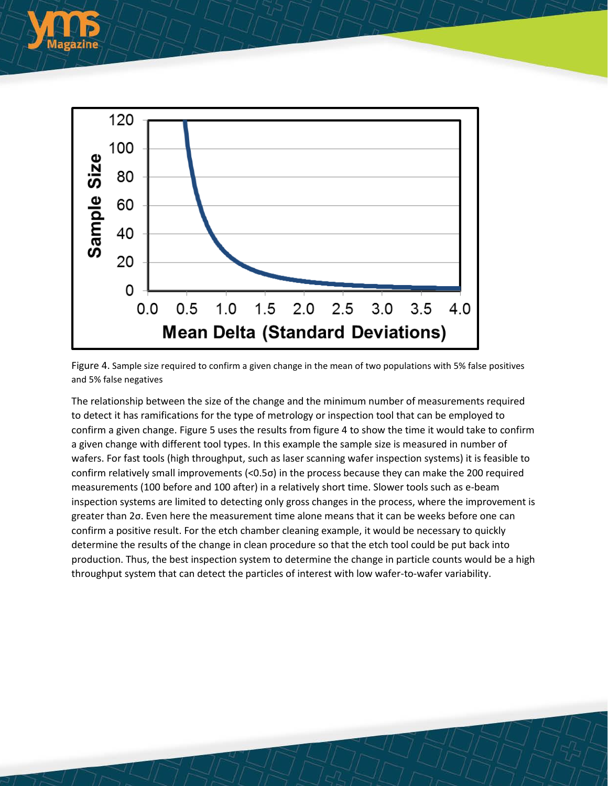



Figure 4. Sample size required to confirm a given change in the mean of two populations with 5% false positives and 5% false negatives

The relationship between the size of the change and the minimum number of measurements required to detect it has ramifications for the type of metrology or inspection tool that can be employed to confirm a given change. Figure 5 uses the results from figure 4 to show the time it would take to confirm a given change with different tool types. In this example the sample size is measured in number of wafers. For fast tools (high throughput, such as laser scanning wafer inspection systems) it is feasible to confirm relatively small improvements (<0.5σ) in the process because they can make the 200 required measurements (100 before and 100 after) in a relatively short time. Slower tools such as e-beam inspection systems are limited to detecting only gross changes in the process, where the improvement is greater than 2σ. Even here the measurement time alone means that it can be weeks before one can confirm a positive result. For the etch chamber cleaning example, it would be necessary to quickly determine the results of the change in clean procedure so that the etch tool could be put back into production. Thus, the best inspection system to determine the change in particle counts would be a high throughput system that can detect the particles of interest with low wafer-to-wafer variability.